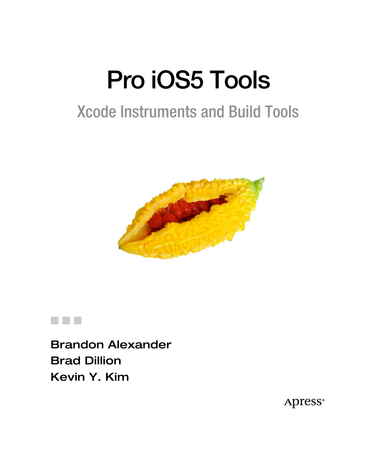# **Pro iOS5 Tools**

#### Xcode Instruments and Build Tools





Brandon Alexander Brad Dillion Kevin Y. Kim

**Apress**<sup>®</sup>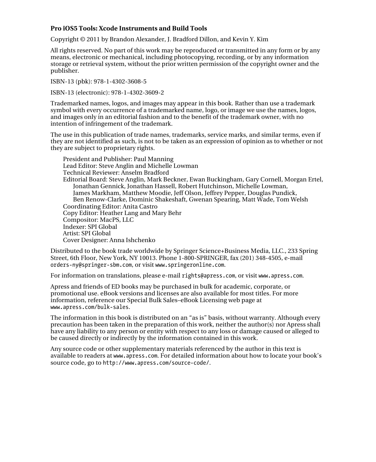#### **Pro iOS5 Tools: Xcode Instruments and Build Tools**

Copyright © 2011 by Brandon Alexander, J. Bradford Dillon, and Kevin Y. Kim

All rights reserved. No part of this work may be reproduced or transmitted in any form or by any means, electronic or mechanical, including photocopying, recording, or by any information storage or retrieval system, without the prior written permission of the copyright owner and the publisher.

ISBN-13 (pbk): 978-1-4302-3608-5

ISBN-13 (electronic): 978-1-4302-3609-2

Trademarked names, logos, and images may appear in this book. Rather than use a trademark symbol with every occurrence of a trademarked name, logo, or image we use the names, logos, and images only in an editorial fashion and to the benefit of the trademark owner, with no intention of infringement of the trademark.

The use in this publication of trade names, trademarks, service marks, and similar terms, even if they are not identified as such, is not to be taken as an expression of opinion as to whether or not they are subject to proprietary rights.

President and Publisher: Paul Manning Lead Editor: Steve Anglin and Michelle Lowman Technical Reviewer: Anselm Bradford Editorial Board: Steve Anglin, Mark Beckner, Ewan Buckingham, Gary Cornell, Morgan Ertel, Jonathan Gennick, Jonathan Hassell, Robert Hutchinson, Michelle Lowman, James Markham, Matthew Moodie, Jeff Olson, Jeffrey Pepper, Douglas Pundick, Ben Renow-Clarke, Dominic Shakeshaft, Gwenan Spearing, Matt Wade, Tom Welsh Coordinating Editor: Anita Castro Copy Editor: Heather Lang and Mary Behr Compositor: MacPS, LLC Indexer: SPI Global Artist: SPI Global Cover Designer: Anna Ishchenko

Distributed to the book trade worldwide by Springer Science+Business Media, LLC., 233 Spring Street, 6th Floor, New York, NY 10013. Phone 1-800-SPRINGER, fax (201) 348-4505, e-mail orders-ny@springer-sbm.com, or visit www.springeronline.com.

For information on translations, please e-mail rights@apress.com, or visit www.apress.com.

Apress and friends of ED books may be purchased in bulk for academic, corporate, or promotional use. eBook versions and licenses are also available for most titles. For more information, reference our Special Bulk Sales–eBook Licensing web page at www.apress.com/bulk-sales.

The information in this book is distributed on an "as is" basis, without warranty. Although every precaution has been taken in the preparation of this work, neither the author(s) nor Apress shall have any liability to any person or entity with respect to any loss or damage caused or alleged to be caused directly or indirectly by the information contained in this work.

Any source code or other supplementary materials referenced by the author in this text is available to readers at www.apress.com. For detailed information about how to locate your book's source code, go to http://www.apress.com/source-code/.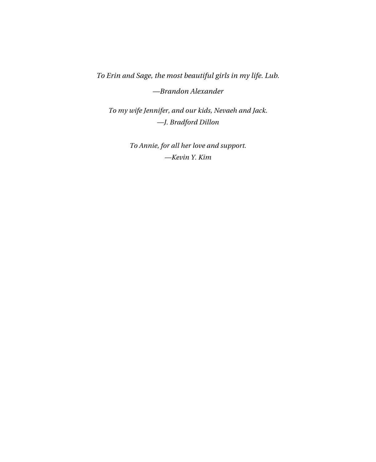*To Erin and Sage, the most beautiful girls in my life. Lub.* 

*—Brandon Alexander* 

*To my wife Jennifer, and our kids, Nevaeh and Jack. —J. Bradford Dillon* 

> *To Annie, for all her love and support. —Kevin Y. Kim*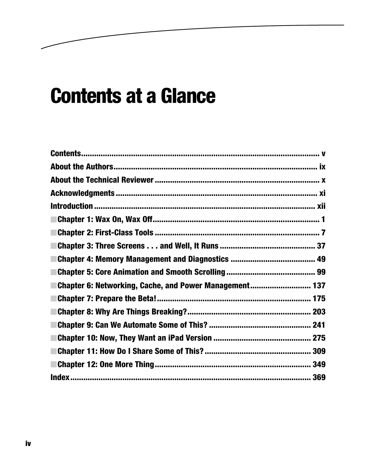## **Contents at a Glance**

| Chapter 6: Networking, Cache, and Power Management 137 |  |
|--------------------------------------------------------|--|
|                                                        |  |
|                                                        |  |
|                                                        |  |
|                                                        |  |
|                                                        |  |
|                                                        |  |
|                                                        |  |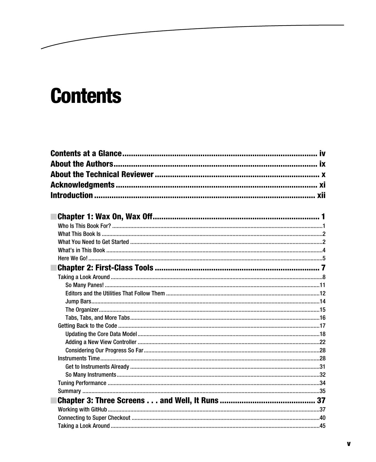### **Contents**

| Contents at a Glance……………………………………………………………………………… iv |  |
|-------------------------------------------------------|--|
| About the Authors……………………………………………………………………………………… ix |  |
|                                                       |  |
|                                                       |  |
|                                                       |  |
|                                                       |  |
|                                                       |  |
|                                                       |  |
|                                                       |  |
|                                                       |  |
|                                                       |  |
|                                                       |  |
|                                                       |  |
|                                                       |  |
|                                                       |  |
|                                                       |  |
|                                                       |  |
|                                                       |  |
|                                                       |  |
|                                                       |  |
|                                                       |  |
|                                                       |  |
|                                                       |  |
|                                                       |  |
|                                                       |  |
|                                                       |  |
|                                                       |  |
|                                                       |  |
|                                                       |  |
|                                                       |  |
|                                                       |  |
|                                                       |  |
|                                                       |  |
|                                                       |  |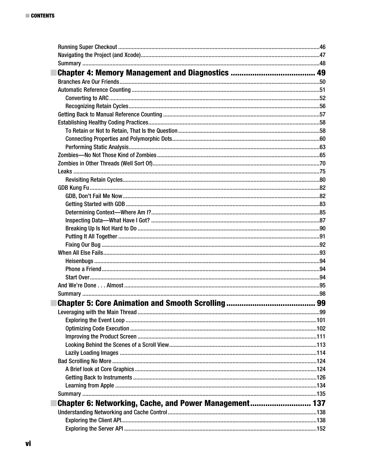| Chapter 6: Networking, Cache, and Power Management 137 |  |
|--------------------------------------------------------|--|
|                                                        |  |
|                                                        |  |
|                                                        |  |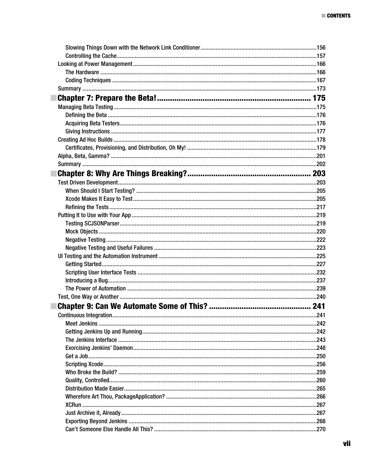| .250 |
|------|
|      |
|      |
|      |
|      |
|      |
|      |
|      |
|      |
|      |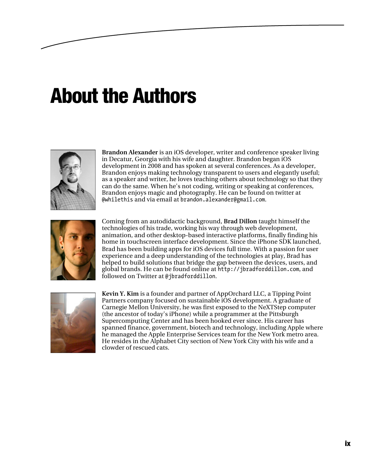## **About the Authors**



**Brandon Alexander** is an iOS developer, writer and conference speaker living in Decatur, Georgia with his wife and daughter. Brandon began iOS development in 2008 and has spoken at several conferences. As a developer, Brandon enjoys making technology transparent to users and elegantly useful; as a speaker and writer, he loves teaching others about technology so that they can do the same. When he's not coding, writing or speaking at conferences, Brandon enjoys magic and photography. He can be found on twitter at @whilethis and via email at brandon.alexander@gmail.com.



Coming from an autodidactic background, **Brad Dillon** taught himself the technologies of his trade, working his way through web development, animation, and other desktop-based interactive platforms, finally finding his home in touchscreen interface development. Since the iPhone SDK launched, Brad has been building apps for iOS devices full time. With a passion for user experience and a deep understanding of the technologies at play, Brad has helped to build solutions that bridge the gap between the devices, users, and global brands. He can be found online at http://jbradforddillon.com, and followed on Twitter at @jbradforddillon.



**Kevin Y. Kim** is a founder and partner of AppOrchard LLC, a Tipping Point Partners company focused on sustainable iOS development. A graduate of Carnegie Mellon University, he was first exposed to the NeXTStep computer (the ancestor of today's iPhone) while a programmer at the Pittsburgh Supercomputing Center and has been hooked ever since. His career has spanned finance, government, biotech and technology, including Apple where he managed the Apple Enterprise Services team for the New York metro area. He resides in the Alphabet City section of New York City with his wife and a clowder of rescued cats.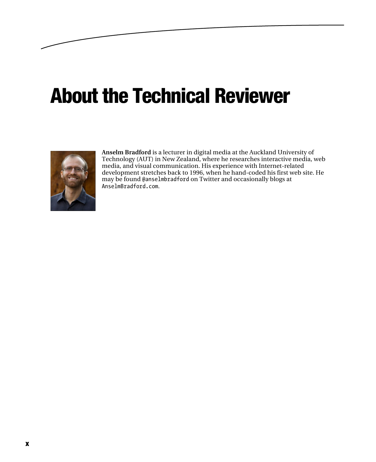## **About the Technical Reviewer**



**Anselm Bradford** is a lecturer in digital media at the Auckland University of Technology (AUT) in New Zealand, where he researches interactive media, web media, and visual communication. His experience with Internet-related development stretches back to 1996, when he hand-coded his first web site. He may be found @anselmbradford on Twitter and occasionally blogs at AnselmBradford.com.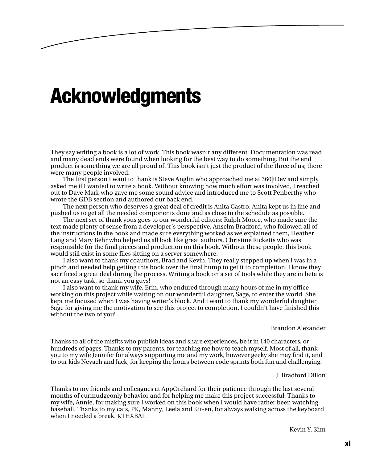### **Acknowledgments**

They say writing a book is a lot of work. This book wasn't any different. Documentation was read and many dead ends were found when looking for the best way to do something. But the end product is something we are all proud of. This book isn't just the product of the three of us; there were many people involved.

The first person I want to thank is Steve Anglin who approached me at 360|iDev and simply asked me if I wanted to write a book. Without knowing how much effort was involved, I reached out to Dave Mark who gave me some sound advice and introduced me to Scott Penberthy who wrote the GDB section and authored our back end.

The next person who deserves a great deal of credit is Anita Castro. Anita kept us in line and pushed us to get all the needed components done and as close to the schedule as possible.

The next set of thank yous goes to our wonderful editors: Ralph Moore, who made sure the text made plenty of sense from a developer's perspective, Anselm Bradford, who followed all of the instructions in the book and made sure everything worked as we explained them, Heather Lang and Mary Behr who helped us all look like great authors, Christine Ricketts who was responsible for the final pieces and production on this book. Without these people, this book would still exist in some files sitting on a server somewhere.

I also want to thank my coauthors, Brad and Kevin. They really stepped up when I was in a pinch and needed help getting this book over the final hump to get it to completion. I know they sacrificed a great deal during the process. Writing a book on a set of tools while they are in beta is not an easy task, so thank you guys!

I also want to thank my wife, Erin, who endured through many hours of me in my office working on this project while waiting on our wonderful daughter, Sage, to enter the world. She kept me focused when I was having writer's block. And I want to thank my wonderful daughter Sage for giving me the motivation to see this project to completion. I couldn't have finished this without the two of you!

#### Brandon Alexander

Thanks to all of the misfits who publish ideas and share experiences, be it in 140 characters, or hundreds of pages. Thanks to my parents, for teaching me how to teach myself. Most of all, thank you to my wife Jennifer for always supporting me and my work, however geeky she may find it, and to our kids Nevaeh and Jack, for keeping the hours between code sprints both fun and challenging.

#### J. Bradford Dillon

Thanks to my friends and colleagues at AppOrchard for their patience through the last several months of curmudgeonly behavior and for helping me make this project successful. Thanks to my wife, Annie, for making sure I worked on this book when I would have rather been watching baseball. Thanks to my cats, PK, Manny, Leela and Kit-en, for always walking across the keyboard when I needed a break. KTHXBAI.

Kevin Y. Kim